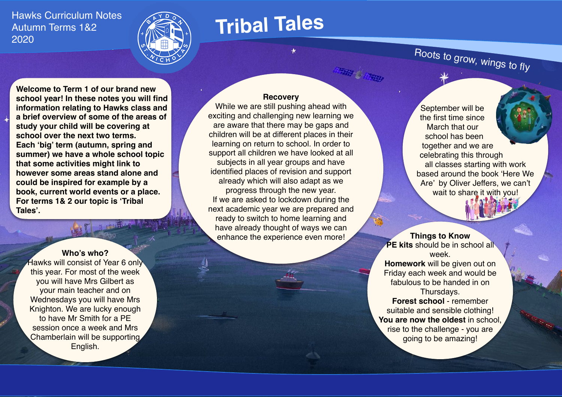Hawks Curriculum Notes Autumn Terms 1&2 2020



# **Tribal Tales**

Roots to grow, wings to fly

**Welcome to Term 1 of our brand new school year! In these notes you will find information relating to Hawks class and a brief overview of some of the areas of study your child will be covering at school over the next two terms. Each 'big' term (autumn, spring and summer) we have a whole school topic that some activities might link to however some areas stand alone and could be inspired for example by a book, current world events or a place. For terms 1& 2 our topic is 'Tribal Tales'.**

### **Who's who?**

Hawks will consist of Year 6 only this year. For most of the week you will have Mrs Gilbert as your main teacher and on Wednesdays you will have Mrs Knighton. We are lucky enough to have Mr Smith for a PE session once a week and Mrs Chamberlain will be supporting English.

#### **Recovery**

While we are still pushing ahead with exciting and challenging new learning we are aware that there may be gaps and children will be at different places in their learning on return to school. In order to support all children we have looked at all subjects in all year groups and have identified places of revision and support already which will also adapt as we progress through the new year. If we are asked to lockdown during the next academic year we are prepared and ready to switch to home learning and have already thought of ways we can enhance the experience even more!

September will be the first time since March that our school has been together and we are celebrating this through all classes starting with work based around the book 'Here We Are' by Oliver Jeffers, we can't wait to share it with you!

**Things to Know PE kits** should be in school all week. **Homework** will be given out on Friday each week and would be fabulous to be handed in on Thursdays. **Forest school** - remember

suitable and sensible clothing! **You are now the oldest** in school, rise to the challenge - you are going to be amazing!